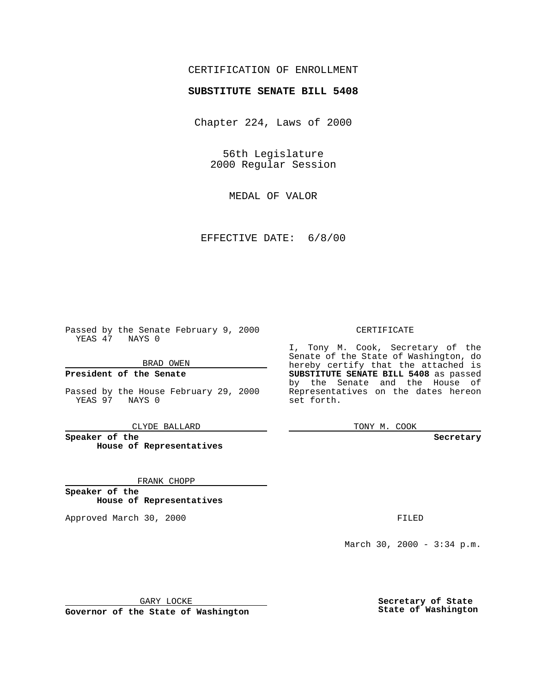## CERTIFICATION OF ENROLLMENT

# **SUBSTITUTE SENATE BILL 5408**

Chapter 224, Laws of 2000

56th Legislature 2000 Regular Session

MEDAL OF VALOR

EFFECTIVE DATE: 6/8/00

Passed by the Senate February 9, 2000 YEAS 47 NAYS 0

BRAD OWEN

**President of the Senate**

Passed by the House February 29, 2000 YEAS 97 NAYS 0

CLYDE BALLARD

**Speaker of the House of Representatives**

FRANK CHOPP

**Speaker of the House of Representatives**

Approved March 30, 2000 FILED

### CERTIFICATE

I, Tony M. Cook, Secretary of the Senate of the State of Washington, do hereby certify that the attached is **SUBSTITUTE SENATE BILL 5408** as passed by the Senate and the House of Representatives on the dates hereon set forth.

TONY M. COOK

**Secretary**

March 30, 2000 - 3:34 p.m.

GARY LOCKE

**Governor of the State of Washington**

**Secretary of State State of Washington**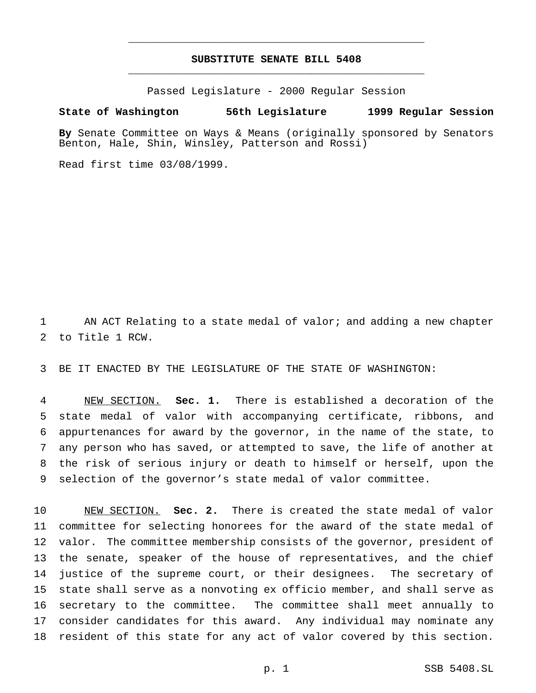## **SUBSTITUTE SENATE BILL 5408** \_\_\_\_\_\_\_\_\_\_\_\_\_\_\_\_\_\_\_\_\_\_\_\_\_\_\_\_\_\_\_\_\_\_\_\_\_\_\_\_\_\_\_\_\_\_\_

\_\_\_\_\_\_\_\_\_\_\_\_\_\_\_\_\_\_\_\_\_\_\_\_\_\_\_\_\_\_\_\_\_\_\_\_\_\_\_\_\_\_\_\_\_\_\_

Passed Legislature - 2000 Regular Session

### **State of Washington 56th Legislature 1999 Regular Session**

**By** Senate Committee on Ways & Means (originally sponsored by Senators Benton, Hale, Shin, Winsley, Patterson and Rossi)

Read first time 03/08/1999.

1 AN ACT Relating to a state medal of valor; and adding a new chapter to Title 1 RCW.

BE IT ENACTED BY THE LEGISLATURE OF THE STATE OF WASHINGTON:

 NEW SECTION. **Sec. 1.** There is established a decoration of the state medal of valor with accompanying certificate, ribbons, and appurtenances for award by the governor, in the name of the state, to any person who has saved, or attempted to save, the life of another at the risk of serious injury or death to himself or herself, upon the selection of the governor's state medal of valor committee.

 NEW SECTION. **Sec. 2.** There is created the state medal of valor committee for selecting honorees for the award of the state medal of valor. The committee membership consists of the governor, president of the senate, speaker of the house of representatives, and the chief justice of the supreme court, or their designees. The secretary of state shall serve as a nonvoting ex officio member, and shall serve as secretary to the committee. The committee shall meet annually to consider candidates for this award. Any individual may nominate any resident of this state for any act of valor covered by this section.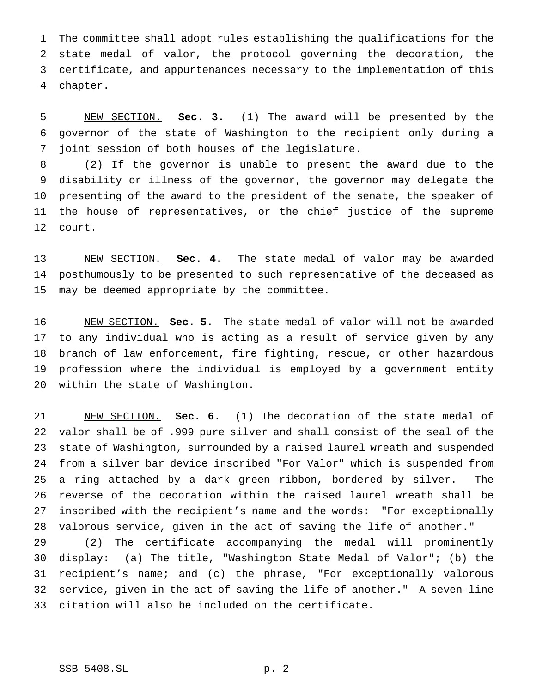The committee shall adopt rules establishing the qualifications for the state medal of valor, the protocol governing the decoration, the certificate, and appurtenances necessary to the implementation of this chapter.

 NEW SECTION. **Sec. 3.** (1) The award will be presented by the governor of the state of Washington to the recipient only during a joint session of both houses of the legislature.

 (2) If the governor is unable to present the award due to the disability or illness of the governor, the governor may delegate the presenting of the award to the president of the senate, the speaker of the house of representatives, or the chief justice of the supreme court.

 NEW SECTION. **Sec. 4.** The state medal of valor may be awarded posthumously to be presented to such representative of the deceased as may be deemed appropriate by the committee.

 NEW SECTION. **Sec. 5.** The state medal of valor will not be awarded to any individual who is acting as a result of service given by any branch of law enforcement, fire fighting, rescue, or other hazardous profession where the individual is employed by a government entity within the state of Washington.

 NEW SECTION. **Sec. 6.** (1) The decoration of the state medal of valor shall be of .999 pure silver and shall consist of the seal of the state of Washington, surrounded by a raised laurel wreath and suspended from a silver bar device inscribed "For Valor" which is suspended from a ring attached by a dark green ribbon, bordered by silver. The reverse of the decoration within the raised laurel wreath shall be inscribed with the recipient's name and the words: "For exceptionally valorous service, given in the act of saving the life of another."

 (2) The certificate accompanying the medal will prominently display: (a) The title, "Washington State Medal of Valor"; (b) the recipient's name; and (c) the phrase, "For exceptionally valorous service, given in the act of saving the life of another." A seven-line citation will also be included on the certificate.